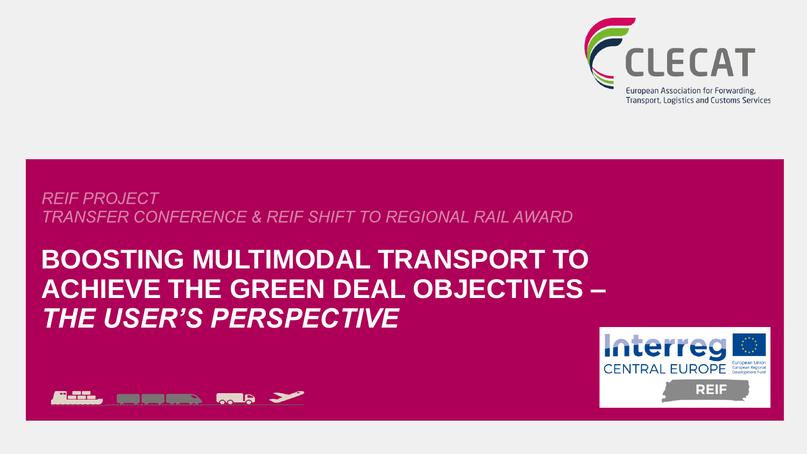

#### **REIF PROJECT TRANSFER CONFERENCE & REIF SHIFT TO REGIONAL RAIL AWARD**

# **BOOSTING MULTIMODAL TRANSPORT TO ACHIEVE THE GREEN DEAL OBJECTIVES –** *THE USER'S PERSPECTIVE*



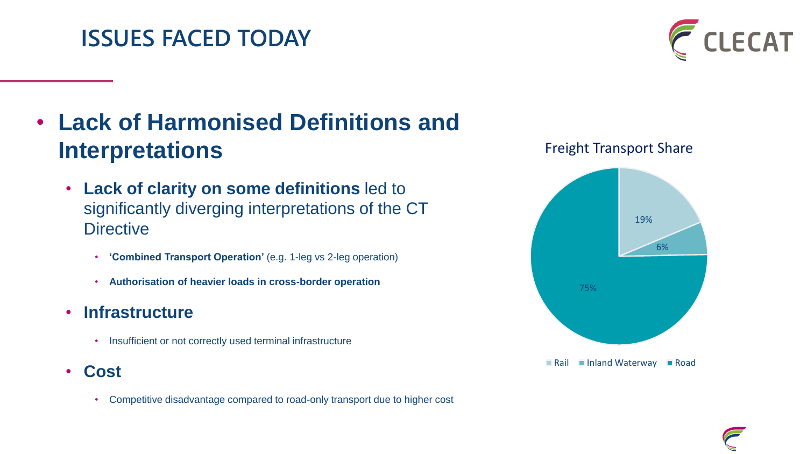#### **ISSUES FACED TODAY**



## • **Lack of Harmonised Definitions and Interpretations**

- **Lack of clarity on some definitions** led to significantly diverging interpretations of the CT **Directive** 
	- **'Combined Transport Operation'** (e.g. 1-leg vs 2-leg operation)
	- **Authorisation of heavier loads in cross-border operation**
- **Infrastructure**
	- Insufficient or not correctly used terminal infrastructure
- **Cost**
	- Competitive disadvantage compared to road-only transport due to higher cost



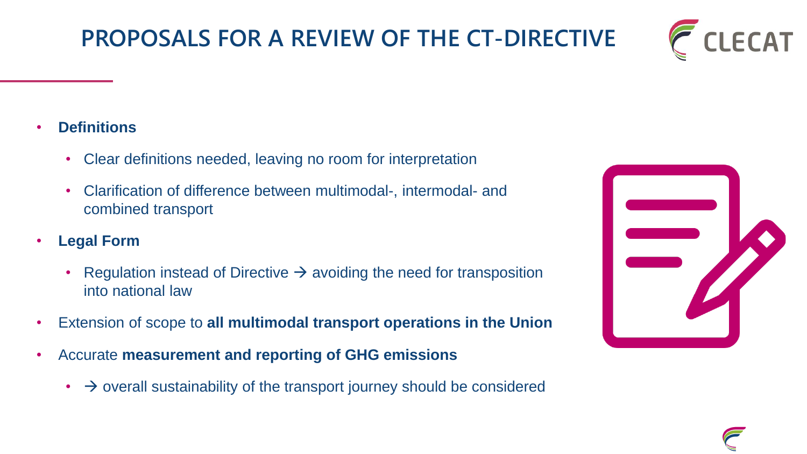#### • **Definitions**

- Clear definitions needed, leaving no room for interpretation
- Clarification of difference between multimodal-, intermodal- and combined transport
- **Legal Form**
	- Regulation instead of Directive  $\rightarrow$  avoiding the need for transposition into national law
- Extension of scope to **all multimodal transport operations in the Union**
- Accurate **measurement and reporting of GHG emissions**
	- $\cdot$   $\rightarrow$  overall sustainability of the transport journey should be considered



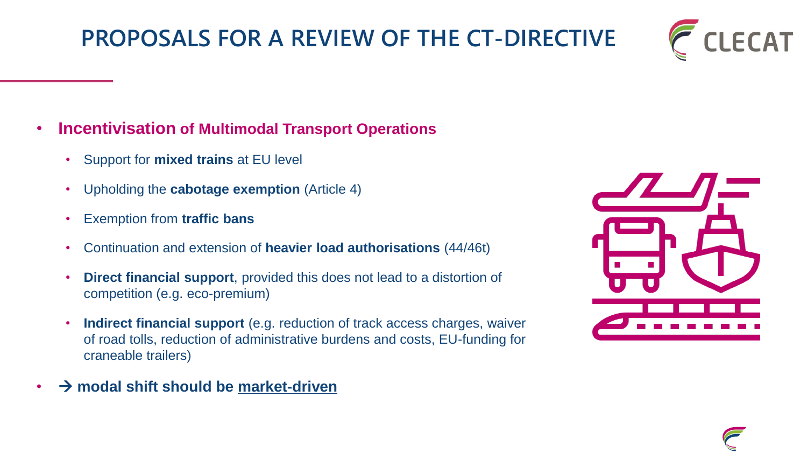#### • **Incentivisation of Multimodal Transport Operations**

- Support for **mixed trains** at EU level
- Upholding the **cabotage exemption** (Article 4)
- Exemption from **traffic bans**
- Continuation and extension of **heavier load authorisations** (44/46t)
- **Direct financial support**, provided this does not lead to a distortion of competition (e.g. eco-premium)
- **Indirect financial support** (e.g. reduction of track access charges, waiver of road tolls, reduction of administrative burdens and costs, EU-funding for craneable trailers)
- → **modal shift should be market-driven**





LECAT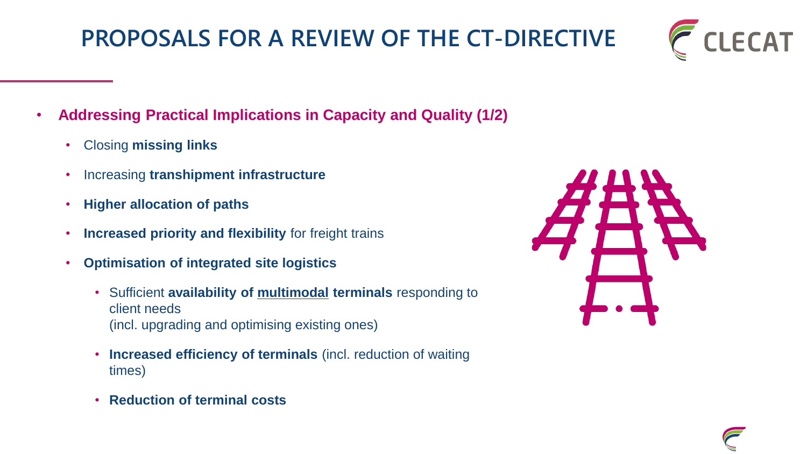- **Addressing Practical Implications in Capacity and Quality (1/2)**
	- Closing **missing links**
	- Increasing **transhipment infrastructure**
	- **Higher allocation of paths**
	- **Increased priority and flexibility** for freight trains
	- **Optimisation of integrated site logistics**
		- Sufficient **availability of multimodal terminals** responding to client needs (incl. upgrading and optimising existing ones)
		- **Increased efficiency of terminals** (incl. reduction of waiting times)
		- **Reduction of terminal costs**



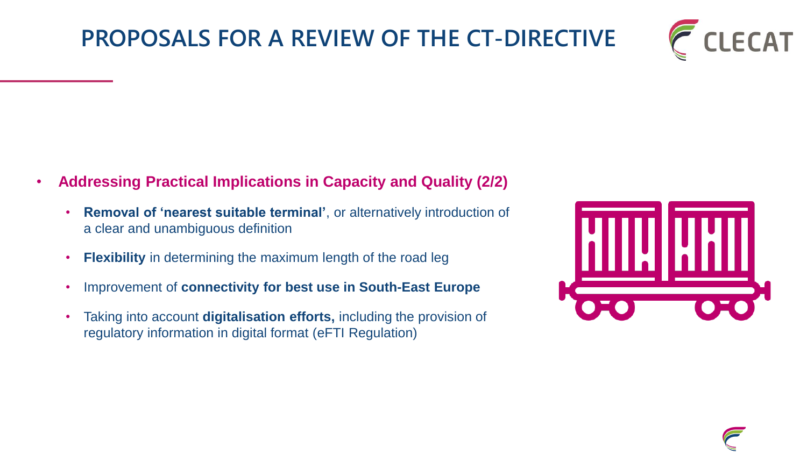

- **Addressing Practical Implications in Capacity and Quality (2/2)**
	- **Removal of 'nearest suitable terminal'**, or alternatively introduction of a clear and unambiguous definition
	- **Flexibility** in determining the maximum length of the road leg
	- Improvement of **connectivity for best use in South-East Europe**
	- Taking into account **digitalisation efforts,** including the provision of regulatory information in digital format (eFTI Regulation)

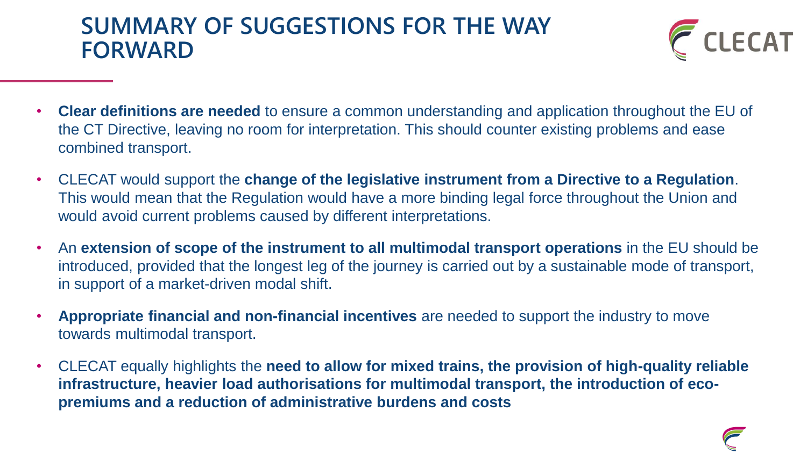#### **SUMMARY OF SUGGESTIONS FOR THE WAY FORWARD**



- **Clear definitions are needed** to ensure a common understanding and application throughout the EU of the CT Directive, leaving no room for interpretation. This should counter existing problems and ease combined transport.
- CLECAT would support the **change of the legislative instrument from a Directive to a Regulation**. This would mean that the Regulation would have a more binding legal force throughout the Union and would avoid current problems caused by different interpretations.
- An **extension of scope of the instrument to all multimodal transport operations** in the EU should be introduced, provided that the longest leg of the journey is carried out by a sustainable mode of transport, in support of a market-driven modal shift.
- **Appropriate financial and non-financial incentives** are needed to support the industry to move towards multimodal transport.
- CLECAT equally highlights the **need to allow for mixed trains, the provision of high-quality reliable infrastructure, heavier load authorisations for multimodal transport, the introduction of ecopremiums and a reduction of administrative burdens and costs**